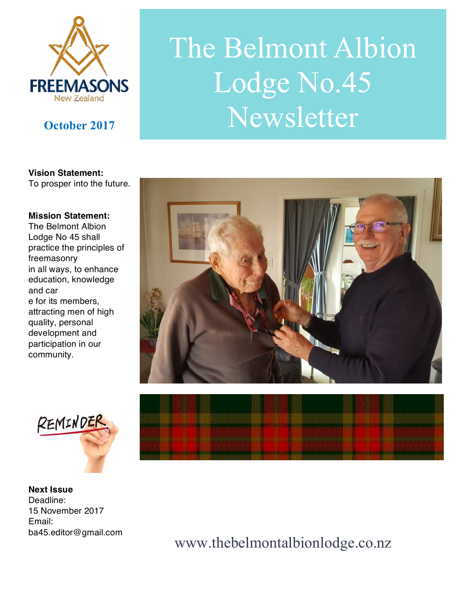

# The Belmont Albion Lodge No.45 **October 2017** Newsletter

**Vision Statement:**  To prosper into the future.

#### **Mission Statement:**

The Belmont Albion Lodge No 45 shall practice the principles of freemasonry in all ways, to enhance education, knowledge and car e for its members, attracting men of high quality, personal development and participation in our community.





**Next Issue**  Deadline: 15 November 2017 Email: ba45.editor@gmail.com **Encaps consumer against their** 

www.thebelmontalbionlodge.co.nz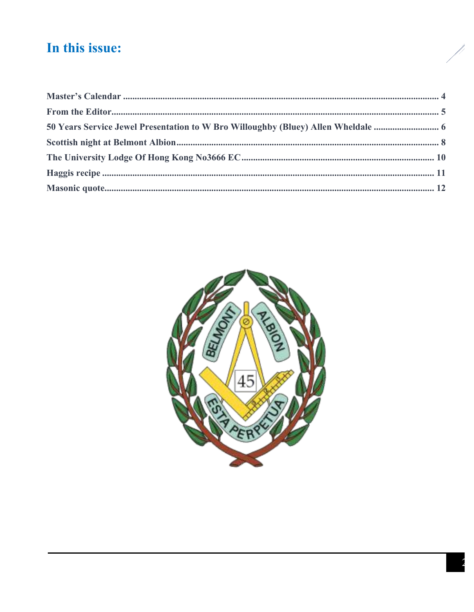## In this issue:



j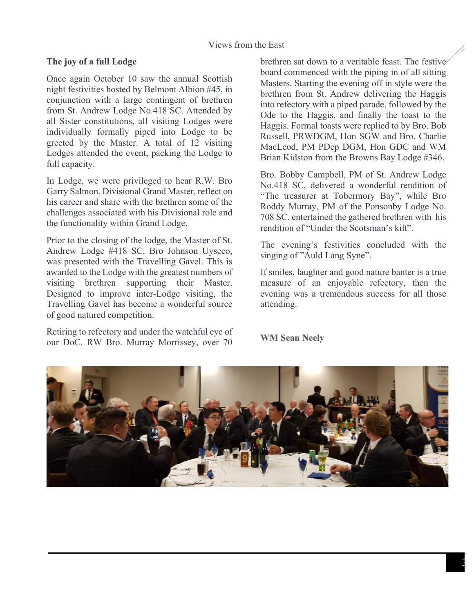#### Views from the East

#### **The joy of a full Lodge**

Once again October 10 saw the annual Scottish night festivities hosted by Belmont Albion #45, in conjunction with a large contingent of brethren from St. Andrew Lodge No.418 SC. Attended by all Sister constitutions, all visiting Lodges were individually formally piped into Lodge to be greeted by the Master. A total of 12 visiting Lodges attended the event, packing the Lodge to full capacity.

In Lodge, we were privileged to hear R.W. Bro Garry Salmon, Divisional Grand Master, reflect on his career and share with the brethren some of the challenges associated with his Divisional role and the functionality within Grand Lodge.

Prior to the closing of the lodge, the Master of St. Andrew Lodge #418 SC. Bro Johnson Uyseco, was presented with the Travelling Gavel. This is awarded to the Lodge with the greatest numbers of visiting brethren supporting their Master. Designed to improve inter-Lodge visiting, the Travelling Gavel has become a wonderful source of good natured competition.

Retiring to refectory and under the watchful eye of our DoC. RW Bro. Murray Morrissey, over 70

brethren sat down to a veritable feast. The festive board commenced with the piping in of all sitting Masters. Starting the evening off in style were the brethren from St. Andrew delivering the Haggis into refectory with a piped parade, followed by the Ode to the Haggis, and finally the toast to the Haggis. Formal toasts were replied to by Bro. Bob Russell, PRWDGM, Hon SGW and Bro. Charlie MacLeod, PM PDep DGM, Hon GDC and WM Brian Kidston from the Browns Bay Lodge #346.

Bro. Bobby Campbell, PM of St. Andrew Lodge No.418 SC, delivered a wonderful rendition of "The treasurer at Tobermory Bay", while Bro Roddy Murray, PM of the Ponsonby Lodge No. 708 SC. entertained the gathered brethren with his rendition of "Under the Scotsman's kilt".

The evening's festivities concluded with the singing of "Auld Lang Syne".

If smiles, laughter and good nature banter is a true measure of an enjoyable refectory, then the evening was a tremendous success for all those attending.

**WM Sean Neely** 

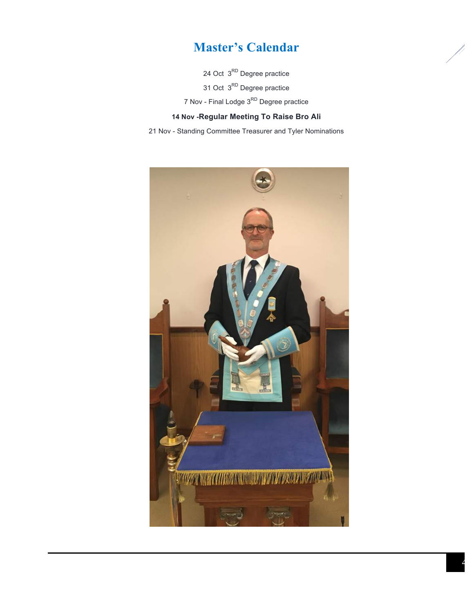## **Master's Calendar**

24 Oct 3<sup>RD</sup> Degree practice

31 Oct 3<sup>RD</sup> Degree practice

7 Nov - Final Lodge 3<sup>RD</sup> Degree practice

### **14 Nov -Regular Meeting To Raise Bro Ali**

21 Nov - Standing Committee Treasurer and Tyler Nominations

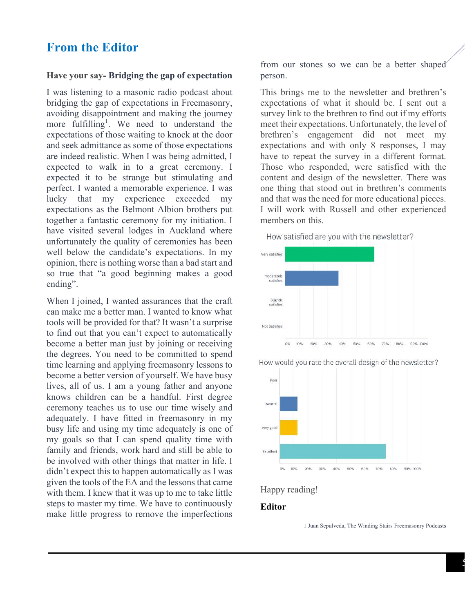## **From the Editor**

#### **Have your say- Bridging the gap of expectation**

I was listening to a masonic radio podcast about bridging the gap of expectations in Freemasonry, avoiding disappointment and making the journey more fulfilling<sup>1</sup>. We need to understand the expectations of those waiting to knock at the door and seek admittance as some of those expectations are indeed realistic. When I was being admitted, I expected to walk in to a great ceremony. I expected it to be strange but stimulating and perfect. I wanted a memorable experience. I was lucky that my experience exceeded my expectations as the Belmont Albion brothers put together a fantastic ceremony for my initiation. I have visited several lodges in Auckland where unfortunately the quality of ceremonies has been well below the candidate's expectations. In my opinion, there is nothing worse than a bad start and so true that "a good beginning makes a good ending".

When I joined, I wanted assurances that the craft can make me a better man. I wanted to know what tools will be provided for that? It wasn't a surprise to find out that you can't expect to automatically become a better man just by joining or receiving the degrees. You need to be committed to spend time learning and applying freemasonry lessons to become a better version of yourself. We have busy lives, all of us. I am a young father and anyone knows children can be a handful. First degree ceremony teaches us to use our time wisely and adequately. I have fitted in freemasonry in my busy life and using my time adequately is one of my goals so that I can spend quality time with family and friends, work hard and still be able to be involved with other things that matter in life. I didn't expect this to happen automatically as I was given the tools of the EA and the lessons that came with them. I knew that it was up to me to take little steps to master my time. We have to continuously make little progress to remove the imperfections

from our stones so we can be a better shaped person.

This brings me to the newsletter and brethren's expectations of what it should be. I sent out a survey link to the brethren to find out if my efforts meet their expectations. Unfortunately, the level of brethren's engagement did not meet my expectations and with only 8 responses, I may have to repeat the survey in a different format. Those who responded, were satisfied with the content and design of the newsletter. There was one thing that stood out in brethren's comments and that was the need for more educational pieces. I will work with Russell and other experienced members on this.





How would you rate the overall design of the newsletter?





#### **Editor**

1 Juan Sepulveda, The Winding Stairs Freemasonry Podcasts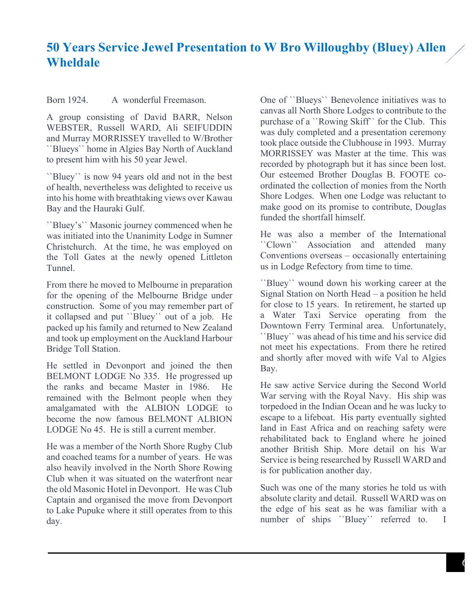## **50 Years Service Jewel Presentation to W Bro Willoughby (Bluey) Allen Wheldale**

Born 1924. A wonderful Freemason.

A group consisting of David BARR, Nelson WEBSTER, Russell WARD, Ali SEIFUDDIN and Murray MORRISSEY travelled to W/Brother ``Blueys`` home in Algies Bay North of Auckland to present him with his 50 year Jewel.

``Bluey`` is now 94 years old and not in the best of health, nevertheless was delighted to receive us into his home with breathtaking views over Kawau Bay and the Hauraki Gulf.

``Bluey's`` Masonic journey commenced when he was initiated into the Unanimity Lodge in Sumner Christchurch. At the time, he was employed on the Toll Gates at the newly opened Littleton Tunnel.

From there he moved to Melbourne in preparation for the opening of the Melbourne Bridge under construction. Some of you may remember part of it collapsed and put ``Bluey`` out of a job. He packed up his family and returned to New Zealand and took up employment on the Auckland Harbour Bridge Toll Station.

He settled in Devonport and joined the then BELMONT LODGE No 335. He progressed up the ranks and became Master in 1986. He remained with the Belmont people when they amalgamated with the ALBION LODGE to become the now famous BELMONT ALBION LODGE No 45. He is still a current member.

He was a member of the North Shore Rugby Club and coached teams for a number of years. He was also heavily involved in the North Shore Rowing Club when it was situated on the waterfront near the old Masonic Hotel in Devonport. He was Club Captain and organised the move from Devonport to Lake Pupuke where it still operates from to this day.

One of ``Blueys`` Benevolence initiatives was to canvas all North Shore Lodges to contribute to the purchase of a ``Rowing Skiff`` for the Club. This was duly completed and a presentation ceremony took place outside the Clubhouse in 1993. Murray MORRISSEY was Master at the time. This was recorded by photograph but it has since been lost. Our esteemed Brother Douglas B. FOOTE coordinated the collection of monies from the North Shore Lodges. When one Lodge was reluctant to make good on its promise to contribute, Douglas funded the shortfall himself.

He was also a member of the International ``Clown`` Association and attended many Conventions overseas – occasionally entertaining us in Lodge Refectory from time to time.

``Bluey`` wound down his working career at the Signal Station on North Head – a position he held for close to 15 years. In retirement, he started up a Water Taxi Service operating from the Downtown Ferry Terminal area. Unfortunately, ``Bluey`` was ahead of his time and his service did not meet his expectations. From there he retired and shortly after moved with wife Val to Algies Bay.

He saw active Service during the Second World War serving with the Royal Navy. His ship was torpedoed in the Indian Ocean and he was lucky to escape to a lifeboat. His party eventually sighted land in East Africa and on reaching safety were rehabilitated back to England where he joined another British Ship. More detail on his War Service is being researched by Russell WARD and is for publication another day.

Such was one of the many stories he told us with absolute clarity and detail. Russell WARD was on the edge of his seat as he was familiar with a number of ships "Bluey" referred to. I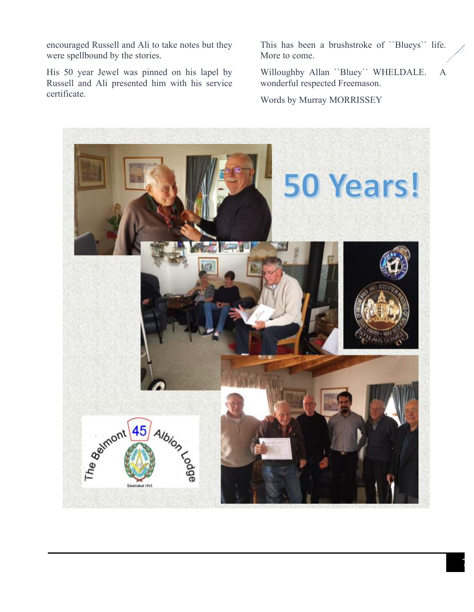encouraged Russell and Ali to take notes but they were spellbound by the stories.

His 50 year Jewel was pinned on his lapel by Russell and Ali presented him with his service certificate.

This has been a brushstroke of ``Blueys`` life. More to come.

Willoughby Allan ``Bluey`` WHELDALE. A wonderful respected Freemason.

Words by Murray MORRISSEY

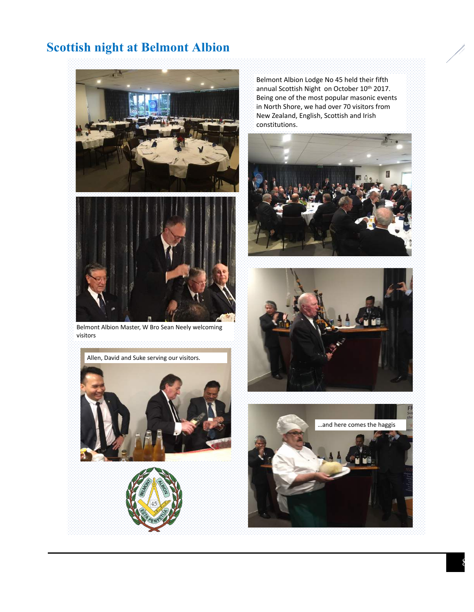## **Scottish night at Belmont Albion**



Belmont Albion Master, W Bro Sean Neely welcoming visitors 



Belmont Albion Lodge No 45 held their fifth annual Scottish Night on October 10<sup>th</sup> 2017. Being one of the most popular masonic events in North Shore, we had over 70 visitors from New Zealand, English, Scottish and Irish constitutions. 







8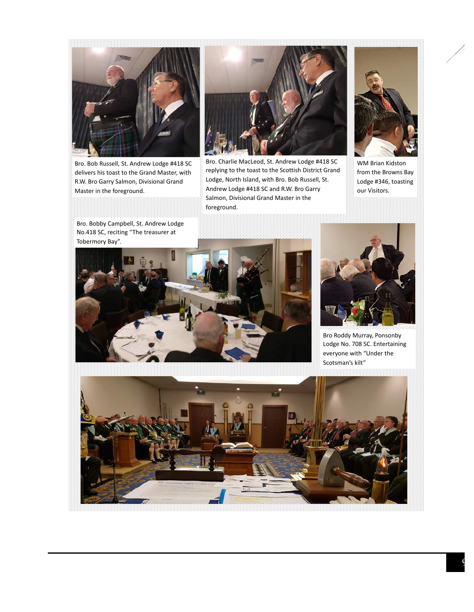

Bro. Bob Russell, St. Andrew Lodge #418 SC delivers his toast to the Grand Master, with R.W. Bro Garry Salmon, Divisional Grand Master in the foreground.

Bro. Bobby Campbell, St. Andrew Lodge



Bro. Charlie MacLeod, St. Andrew Lodge #418 SC replying to the toast to the Scottish District Grand Lodge, North Island, with Bro. Bob Russell, St. Andrew Lodge #418 SC and R.W. Bro Garry Salmon, Divisional Grand Master in the foreground.



WM Brian Kidston from the Browns Bay Lodge #346, toasting our Visitors.





Bro Roddy Murray, Ponsonby Lodge No. 708 SC. Entertaining everyone with "Under the Scotsman's kilt"



9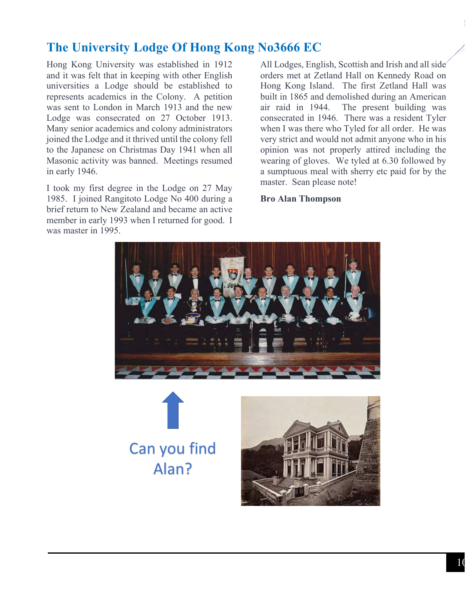## **The University Lodge Of Hong Kong No3666 EC**

Hong Kong University was established in 1912 and it was felt that in keeping with other English universities a Lodge should be established to represents academics in the Colony. A petition was sent to London in March 1913 and the new Lodge was consecrated on 27 October 1913. Many senior academics and colony administrators joined the Lodge and it thrived until the colony fell to the Japanese on Christmas Day 1941 when all Masonic activity was banned. Meetings resumed in early 1946.

I took my first degree in the Lodge on 27 May 1985. I joined Rangitoto Lodge No 400 during a brief return to New Zealand and became an active member in early 1993 when I returned for good. I was master in 1995.

All Lodges, English, Scottish and Irish and all side orders met at Zetland Hall on Kennedy Road on Hong Kong Island. The first Zetland Hall was built in 1865 and demolished during an American air raid in 1944. The present building was consecrated in 1946. There was a resident Tyler when I was there who Tyled for all order. He was very strict and would not admit anyone who in his opinion was not properly attired including the wearing of gloves. We tyled at 6.30 followed by a sumptuous meal with sherry etc paid for by the master. Sean please note!

#### **Bro Alan Thompson**







 $1<sub>0</sub>$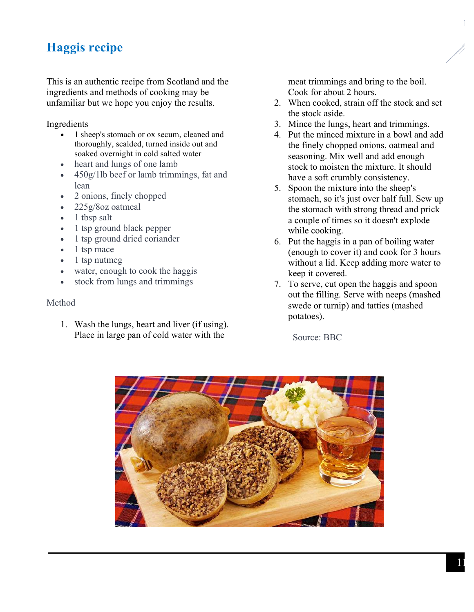## **Haggis recipe**

This is an authentic recipe from Scotland and the ingredients and methods of cooking may be unfamiliar but we hope you enjoy the results.

Ingredients

- 1 sheep's stomach or ox secum, cleaned and thoroughly, scalded, turned inside out and soaked overnight in cold salted water
- heart and lungs of one lamb
- 450g/1lb beef or lamb trimmings, fat and lean
- 2 onions, finely chopped
- 225g/8oz oatmeal
- 1 tbsp salt
- 1 tsp ground black pepper
- 1 tsp ground dried coriander
- 1 tsp mace
- 1 tsp nutmeg
- water, enough to cook the haggis
- stock from lungs and trimmings

#### Method

1. Wash the lungs, heart and liver (if using). Place in large pan of cold water with the

meat trimmings and bring to the boil. Cook for about 2 hours.

- 2. When cooked, strain off the stock and set the stock aside.
- 3. Mince the lungs, heart and trimmings.
- 4. Put the minced mixture in a bowl and add the finely chopped onions, oatmeal and seasoning. Mix well and add enough stock to moisten the mixture. It should have a soft crumbly consistency.
- 5. Spoon the mixture into the sheep's stomach, so it's just over half full. Sew up the stomach with strong thread and prick a couple of times so it doesn't explode while cooking.
- 6. Put the haggis in a pan of boiling water (enough to cover it) and cook for 3 hours without a lid. Keep adding more water to keep it covered.
- 7. To serve, cut open the haggis and spoon out the filling. Serve with neeps (mashed swede or turnip) and tatties (mashed potatoes).

Source: BBC



 $1<sup>1</sup>$